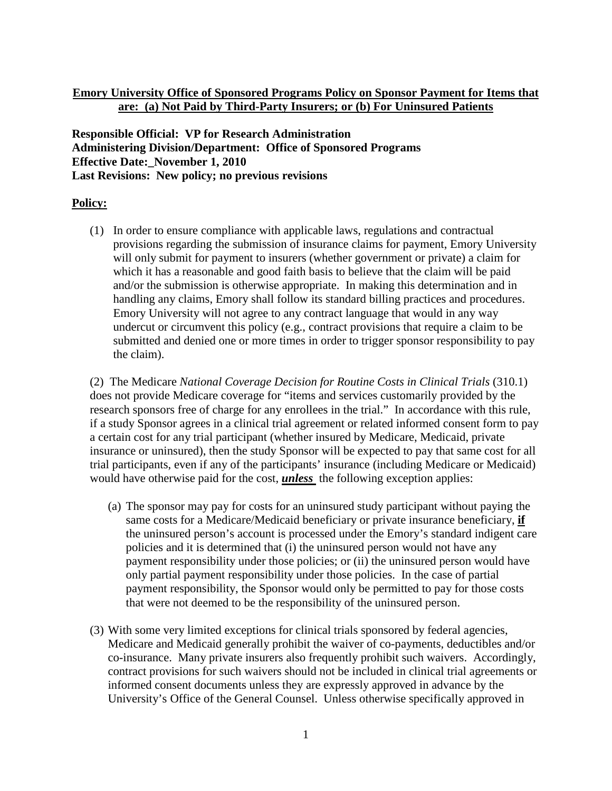# **Emory University Office of Sponsored Programs Policy on Sponsor Payment for Items that are: (a) Not Paid by Third-Party Insurers; or (b) For Uninsured Patients**

**Responsible Official: VP for Research Administration Administering Division/Department: Office of Sponsored Programs Effective Date: November 1, 2010 Last Revisions: New policy; no previous revisions**

## **Policy:**

(1) In order to ensure compliance with applicable laws, regulations and contractual provisions regarding the submission of insurance claims for payment, Emory University will only submit for payment to insurers (whether government or private) a claim for which it has a reasonable and good faith basis to believe that the claim will be paid and/or the submission is otherwise appropriate. In making this determination and in handling any claims, Emory shall follow its standard billing practices and procedures. Emory University will not agree to any contract language that would in any way undercut or circumvent this policy (e.g., contract provisions that require a claim to be submitted and denied one or more times in order to trigger sponsor responsibility to pay the claim).

(2) The Medicare *National Coverage Decision for Routine Costs in Clinical Trials* (310.1) does not provide Medicare coverage for "items and services customarily provided by the research sponsors free of charge for any enrollees in the trial." In accordance with this rule, if a study Sponsor agrees in a clinical trial agreement or related informed consent form to pay a certain cost for any trial participant (whether insured by Medicare, Medicaid, private insurance or uninsured), then the study Sponsor will be expected to pay that same cost for all trial participants, even if any of the participants' insurance (including Medicare or Medicaid) would have otherwise paid for the cost, *unless* the following exception applies:

- (a) The sponsor may pay for costs for an uninsured study participant without paying the same costs for a Medicare/Medicaid beneficiary or private insurance beneficiary, **if** the uninsured person's account is processed under the Emory's standard indigent care policies and it is determined that (i) the uninsured person would not have any payment responsibility under those policies; or (ii) the uninsured person would have only partial payment responsibility under those policies. In the case of partial payment responsibility, the Sponsor would only be permitted to pay for those costs that were not deemed to be the responsibility of the uninsured person.
- (3) With some very limited exceptions for clinical trials sponsored by federal agencies, Medicare and Medicaid generally prohibit the waiver of co-payments, deductibles and/or co-insurance. Many private insurers also frequently prohibit such waivers. Accordingly, contract provisions for such waivers should not be included in clinical trial agreements or informed consent documents unless they are expressly approved in advance by the University's Office of the General Counsel. Unless otherwise specifically approved in